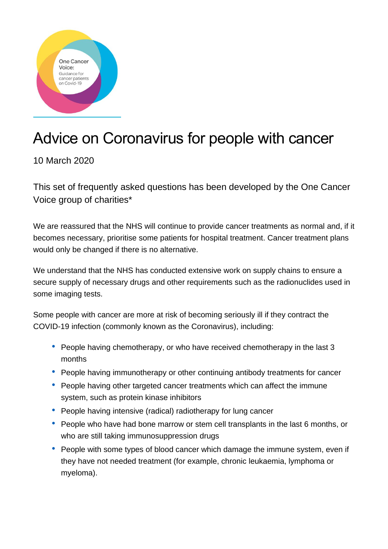

# Advice on Coronavirus for people with cancer

# 10 March 2020

This set of frequently asked questions has been developed by the One Cancer Voice group of charities\*

We are reassured that the NHS will continue to provide cancer treatments as normal and, if it becomes necessary, prioritise some patients for hospital treatment. Cancer treatment plans would only be changed if there is no alternative.

We understand that the NHS has conducted extensive work on supply chains to ensure a secure supply of necessary drugs and other requirements such as the radionuclides used in some imaging tests.

Some people with cancer are more at risk of becoming seriously ill if they contract the COVID-19 infection (commonly known as the Coronavirus), including:

- People having chemotherapy, or who have received chemotherapy in the last 3 months
- People having immunotherapy or other continuing antibody treatments for cancer
- People having other targeted cancer treatments which can affect the immune system, such as protein kinase inhibitors
- People having intensive (radical) radiotherapy for lung cancer
- People who have had bone marrow or stem cell transplants in the last 6 months, or who are still taking immunosuppression drugs
- People with some types of blood cancer which damage the immune system, even if they have not needed treatment (for example, chronic leukaemia, lymphoma or myeloma).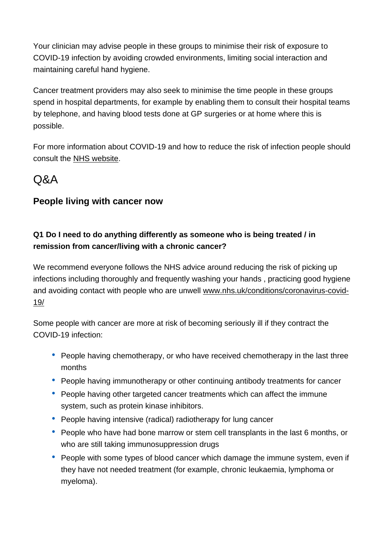Your clinician may advise people in these groups to minimise their risk of exposure to COVID-19 infection by avoiding crowded environments, limiting social interaction and maintaining careful hand hygiene.

Cancer treatment providers may also seek to minimise the time people in these groups spend in hospital departments, for example by enabling them to consult their hospital teams by telephone, and having blood tests done at GP surgeries or at home where this is possible.

For more information about COVID-19 and how to reduce the risk of infection people should consult the [NHS website.](https://www.nhs.uk/conditions/coronavirus-covid-19/)

# $\triangle A$

# **People living with cancer now**

# **Q1 Do I need to do anything differently as someone who is being treated / in remission from cancer/living with a chronic cancer?**

We recommend everyone follows the NHS advice around reducing the risk of picking up infections including thoroughly and frequently washing your hands , practicing good hygiene and avoiding contact with people who are unwell [www.nhs.uk/conditions/coronavirus-covid-](http://www.nhs.uk/conditions/coronavirus-covid-19/)[19/](http://www.nhs.uk/conditions/coronavirus-covid-19/) 

Some people with cancer are more at risk of becoming seriously ill if they contract the COVID-19 infection:

- People having chemotherapy, or who have received chemotherapy in the last three months
- People having immunotherapy or other continuing antibody treatments for cancer
- People having other targeted cancer treatments which can affect the immune system, such as protein kinase inhibitors.
- People having intensive (radical) radiotherapy for lung cancer
- People who have had bone marrow or stem cell transplants in the last 6 months, or who are still taking immunosuppression drugs
- People with some types of blood cancer which damage the immune system, even if they have not needed treatment (for example, chronic leukaemia, lymphoma or myeloma).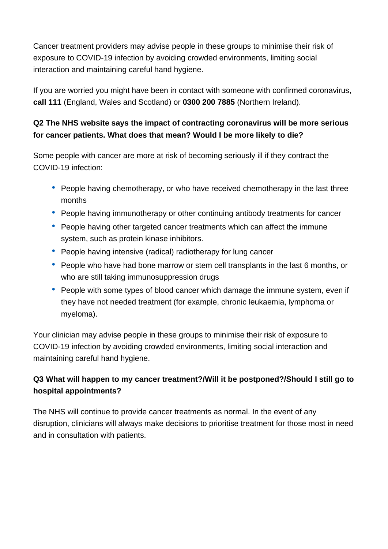Cancer treatment providers may advise people in these groups to minimise their risk of exposure to COVID-19 infection by avoiding crowded environments, limiting social interaction and maintaining careful hand hygiene.

If you are worried you might have been in contact with someone with confirmed coronavirus, **call 111** (England, Wales and Scotland) or **0300 200 7885** (Northern Ireland).

#### **Q2 The NHS website says the impact of contracting coronavirus will be more serious for cancer patients. What does that mean? Would I be more likely to die?**

Some people with cancer are more at risk of becoming seriously ill if they contract the COVID-19 infection:

- People having chemotherapy, or who have received chemotherapy in the last three months
- People having immunotherapy or other continuing antibody treatments for cancer
- People having other targeted cancer treatments which can affect the immune system, such as protein kinase inhibitors.
- People having intensive (radical) radiotherapy for lung cancer
- People who have had bone marrow or stem cell transplants in the last 6 months, or who are still taking immunosuppression drugs
- People with some types of blood cancer which damage the immune system, even if they have not needed treatment (for example, chronic leukaemia, lymphoma or myeloma).

Your clinician may advise people in these groups to minimise their risk of exposure to COVID-19 infection by avoiding crowded environments, limiting social interaction and maintaining careful hand hygiene.

#### **Q3 What will happen to my cancer treatment?/Will it be postponed?/Should I still go to hospital appointments?**

The NHS will continue to provide cancer treatments as normal. In the event of any disruption, clinicians will always make decisions to prioritise treatment for those most in need and in consultation with patients.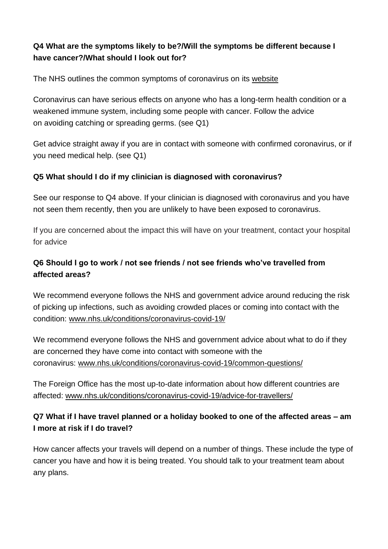#### **Q4 What are the symptoms likely to be?/Will the symptoms be different because I have cancer?/What should I look out for?**

The NHS outlines the common symptoms of coronavirus on its [website](http://www.nhs.uk/conditions/coronavirus-covid-19/)

Coronavirus can have serious effects on anyone who has a long-term health condition or a weakened immune system, including some people with cancer. Follow the advice on [avoiding catching or spreading](https://eur03.safelinks.protection.outlook.com/?url=https%3A%2F%2Fwww.nhs.uk%2Fconditions%2Fcoronavirus-covid-19%2F&data=01%7C01%7Cjohnsonp%40soton.ac.uk%7C4e5aa25e5e92443b16b908d7c133a338%7C4a5378f929f44d3ebe89669d03ada9d8%7C0&sdata=e3EsBiZdQdmHHTsz6%2FSIkj2gS2BBjAUfl%2BJ%2BwXeF2bo%3D&reserved=0) germs. (see Q1)

Get advice straight away if you are in contact with someone with confirmed coronavirus, or if you need medical help. (see Q1)

#### **Q5 What should I do if my clinician is diagnosed with coronavirus?**

See our response to Q4 above. If your clinician is diagnosed with coronavirus and you have not seen them recently, then you are unlikely to have been exposed to coronavirus.

If you are concerned about the impact this will have on your treatment, contact your hospital for advice

# **Q6 Should I go to work / not see friends / not see friends who've travelled from affected areas?**

We recommend everyone follows the NHS and government advice around reducing the risk of picking up infections, such as avoiding crowded places or coming into contact with the condition: [www.nhs.uk/conditions/coronavirus-covid-19/](http://www.nhs.uk/conditions/coronavirus-covid-19/)

We recommend everyone follows the NHS and government advice about what to do if they are concerned they have come into contact with someone with the coronavirus: [www.nhs.uk/conditions/coronavirus-covid-19/common-questions/](http://www.nhs.uk/conditions/coronavirus-covid-19/common-questions/)

The Foreign Office has the most up-to-date information about how different countries are affected: [www.nhs.uk/conditions/coronavirus-covid-19/advice-for-travellers/](http://www.nhs.uk/conditions/coronavirus-covid-19/advice-for-travellers/) 

#### **Q7 What if I have travel planned or a holiday booked to one of the affected areas – am I more at risk if I do travel?**

How cancer affects your travels will depend on a number of things. These include the type of cancer you have and how it is being treated. You should talk to your treatment team about any plans.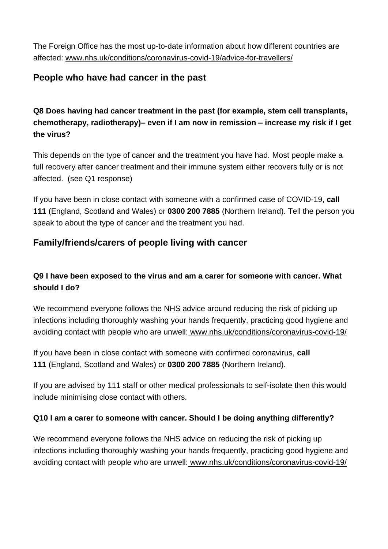The Foreign Office has the most up-to-date information about how different countries are affected: [www.nhs.uk/conditions/coronavirus-covid-19/advice-for-travellers/](http://www.nhs.uk/conditions/coronavirus-covid-19/advice-for-travellers/)

### **People who have had cancer in the past**

**Q8 Does having had cancer treatment in the past (for example, stem cell transplants, chemotherapy, radiotherapy)– even if I am now in remission – increase my risk if I get the virus?** 

This depends on the type of cancer and the treatment you have had. Most people make a full recovery after cancer treatment and their immune system either recovers fully or is not affected. (see Q1 response)

If you have been in close contact with someone with a confirmed case of COVID-19, **call 111** (England, Scotland and Wales) or **0300 200 7885** (Northern Ireland). Tell the person you speak to about the type of cancer and the treatment you had.

# **Family/friends/carers of people living with cancer**

# **Q9 I have been exposed to the virus and am a carer for someone with cancer. What should I do?**

We recommend everyone follows the NHS advice around reducing the risk of picking up infections including thoroughly washing your hands frequently, practicing good hygiene and avoiding contact with people who are unwell: www.nhs.uk/conditions/coronavirus-covid-19/

If you have been in close contact with someone with confirmed coronavirus, **call 111** (England, Scotland and Wales) or **0300 200 7885** (Northern Ireland).

If you are advised by 111 staff or other medical professionals to self-isolate then this would include minimising close contact with others.

#### **Q10 I am a carer to someone with cancer. Should I be doing anything differently?**

We recommend everyone follows the NHS advice on reducing the risk of picking up infections including thoroughly washing your hands frequently, practicing good hygiene and avoiding contact with people who are unwell: www.nhs.uk/conditions/coronavirus-covid-19/